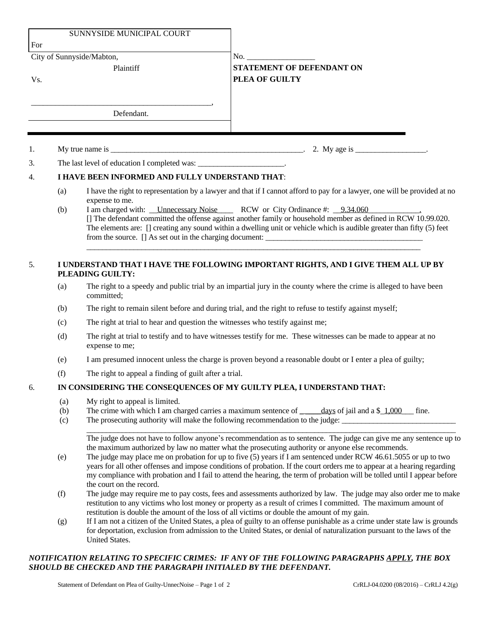|     |                                                                                                                                                                                                                                                         | SUNNYSIDE MUNICIPAL COURT                                                                                                                                                                                                                                                                                                                                                                                                                                                                                                                                                                                                          |                                                                                                                            |  |
|-----|---------------------------------------------------------------------------------------------------------------------------------------------------------------------------------------------------------------------------------------------------------|------------------------------------------------------------------------------------------------------------------------------------------------------------------------------------------------------------------------------------------------------------------------------------------------------------------------------------------------------------------------------------------------------------------------------------------------------------------------------------------------------------------------------------------------------------------------------------------------------------------------------------|----------------------------------------------------------------------------------------------------------------------------|--|
| For |                                                                                                                                                                                                                                                         |                                                                                                                                                                                                                                                                                                                                                                                                                                                                                                                                                                                                                                    |                                                                                                                            |  |
| Vs. |                                                                                                                                                                                                                                                         | City of Sunnyside/Mabton,<br>Plaintiff                                                                                                                                                                                                                                                                                                                                                                                                                                                                                                                                                                                             | <b>STATEMENT OF DEFENDANT ON</b><br>PLEA OF GUILTY                                                                         |  |
|     |                                                                                                                                                                                                                                                         | Defendant.                                                                                                                                                                                                                                                                                                                                                                                                                                                                                                                                                                                                                         |                                                                                                                            |  |
| 1.  |                                                                                                                                                                                                                                                         |                                                                                                                                                                                                                                                                                                                                                                                                                                                                                                                                                                                                                                    |                                                                                                                            |  |
| 3.  |                                                                                                                                                                                                                                                         | The last level of education I completed was: _______________________.                                                                                                                                                                                                                                                                                                                                                                                                                                                                                                                                                              |                                                                                                                            |  |
| 4.  | I HAVE BEEN INFORMED AND FULLY UNDERSTAND THAT:                                                                                                                                                                                                         |                                                                                                                                                                                                                                                                                                                                                                                                                                                                                                                                                                                                                                    |                                                                                                                            |  |
|     | (a)                                                                                                                                                                                                                                                     |                                                                                                                                                                                                                                                                                                                                                                                                                                                                                                                                                                                                                                    | I have the right to representation by a lawyer and that if I cannot afford to pay for a lawyer, one will be provided at no |  |
|     | (b)                                                                                                                                                                                                                                                     | expense to me.<br>I am charged with: Unnecessary Noise RCW or City Ordinance #: 9.34.060<br>[] The defendant committed the offense against another family or household member as defined in RCW 10.99.020.<br>The elements are: [] creating any sound within a dwelling unit or vehicle which is audible greater than fifty (5) feet                                                                                                                                                                                                                                                                                               |                                                                                                                            |  |
| 5.  | I UNDERSTAND THAT I HAVE THE FOLLOWING IMPORTANT RIGHTS, AND I GIVE THEM ALL UP BY<br>PLEADING GUILTY:                                                                                                                                                  |                                                                                                                                                                                                                                                                                                                                                                                                                                                                                                                                                                                                                                    |                                                                                                                            |  |
|     | (a)                                                                                                                                                                                                                                                     | The right to a speedy and public trial by an impartial jury in the county where the crime is alleged to have been<br>committed;                                                                                                                                                                                                                                                                                                                                                                                                                                                                                                    |                                                                                                                            |  |
|     | (b)                                                                                                                                                                                                                                                     | The right to remain silent before and during trial, and the right to refuse to testify against myself;                                                                                                                                                                                                                                                                                                                                                                                                                                                                                                                             |                                                                                                                            |  |
|     | (c)                                                                                                                                                                                                                                                     | The right at trial to hear and question the witnesses who testify against me;                                                                                                                                                                                                                                                                                                                                                                                                                                                                                                                                                      |                                                                                                                            |  |
|     | (d)                                                                                                                                                                                                                                                     | The right at trial to testify and to have witnesses testify for me. These witnesses can be made to appear at no<br>expense to me;                                                                                                                                                                                                                                                                                                                                                                                                                                                                                                  |                                                                                                                            |  |
|     | (e)                                                                                                                                                                                                                                                     | I am presumed innocent unless the charge is proven beyond a reasonable doubt or I enter a plea of guilty;                                                                                                                                                                                                                                                                                                                                                                                                                                                                                                                          |                                                                                                                            |  |
|     | (f)                                                                                                                                                                                                                                                     | The right to appeal a finding of guilt after a trial.                                                                                                                                                                                                                                                                                                                                                                                                                                                                                                                                                                              |                                                                                                                            |  |
| 6.  | IN CONSIDERING THE CONSEQUENCES OF MY GUILTY PLEA, I UNDERSTAND THAT:                                                                                                                                                                                   |                                                                                                                                                                                                                                                                                                                                                                                                                                                                                                                                                                                                                                    |                                                                                                                            |  |
|     | My right to appeal is limited.<br>(a)<br>The crime with which I am charged carries a maximum sentence of $\_\_\_\_\_\_\$ g of jail and a \$ 1,000 fine.<br>(b)<br>The prosecuting authority will make the following recommendation to the judge:<br>(c) |                                                                                                                                                                                                                                                                                                                                                                                                                                                                                                                                                                                                                                    |                                                                                                                            |  |
|     | (e)                                                                                                                                                                                                                                                     | The judge does not have to follow anyone's recommendation as to sentence. The judge can give me any sentence up to<br>the maximum authorized by law no matter what the prosecuting authority or anyone else recommends.<br>The judge may place me on probation for up to five $(5)$ years if I am sentenced under RCW 46.61.5055 or up to two<br>years for all other offenses and impose conditions of probation. If the court orders me to appear at a hearing regarding<br>my compliance with probation and I fail to attend the hearing, the term of probation will be tolled until I appear before<br>the court on the record. |                                                                                                                            |  |
|     | (f)                                                                                                                                                                                                                                                     | The judge may require me to pay costs, fees and assessments authorized by law. The judge may also order me to make<br>restitution to any victims who lost money or property as a result of crimes I committed. The maximum amount of<br>restitution is double the amount of the loss of all victims or double the amount of my gain.                                                                                                                                                                                                                                                                                               |                                                                                                                            |  |
|     | (g)                                                                                                                                                                                                                                                     | If I am not a citizen of the United States, a plea of guilty to an offense punishable as a crime under state law is grounds<br>for deportation, exclusion from admission to the United States, or denial of naturalization pursuant to the laws of the<br>United States.                                                                                                                                                                                                                                                                                                                                                           |                                                                                                                            |  |
|     |                                                                                                                                                                                                                                                         |                                                                                                                                                                                                                                                                                                                                                                                                                                                                                                                                                                                                                                    |                                                                                                                            |  |

## *NOTIFICATION RELATING TO SPECIFIC CRIMES: IF ANY OF THE FOLLOWING PARAGRAPHS APPLY, THE BOX SHOULD BE CHECKED AND THE PARAGRAPH INITIALED BY THE DEFENDANT.*